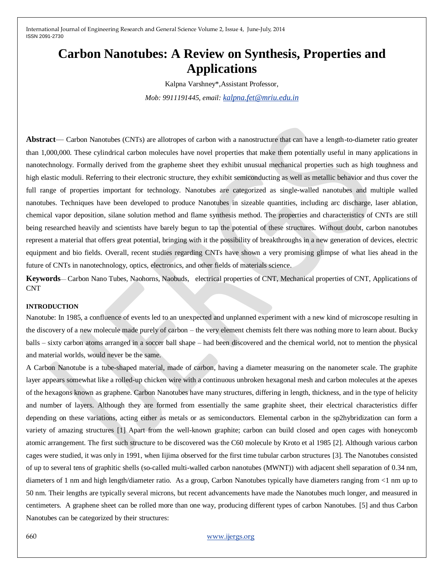# **Carbon Nanotubes: A Review on Synthesis, Properties and Applications**

Kalpna Varshney\*,Assistant Professor,

*Mob: 9911191445, email: [kalpna.fet@mriu.edu.in](mailto:kalpna.fet@mriu.edu.in)*

**Abstract**— Carbon Nanotubes (CNTs) are allotropes of carbon with a nanostructure that can have a length-to-diameter ratio greater than 1,000,000. These cylindrical carbon molecules have novel properties that make them potentially useful in many applications in nanotechnology. Formally derived from the grapheme sheet they exhibit unusual mechanical properties such as high toughness and high elastic moduli. Referring to their electronic structure, they exhibit semiconducting as well as metallic behavior and thus cover the full range of properties important for technology. Nanotubes are categorized as single-walled nanotubes and multiple walled nanotubes. Techniques have been developed to produce Nanotubes in sizeable quantities, including arc discharge, laser ablation, chemical vapor deposition, silane solution method and flame synthesis method. The properties and characteristics of CNTs are still being researched heavily and scientists have barely begun to tap the potential of these structures. Without doubt, carbon nanotubes represent a material that offers great potential, bringing with it the possibility of breakthroughs in a new generation of devices, electric equipment and bio fields. Overall, recent studies regarding CNTs have shown a very promising glimpse of what lies ahead in the future of CNTs in nanotechnology, optics, electronics, and other fields of materials science.

**Keywords**— Carbon Nano Tubes, Naohorns, Naobuds, electrical properties of CNT, Mechanical properties of CNT, Applications of CNT

#### **INTRODUCTION**

Nanotube: In 1985, a confluence of events led to an unexpected and unplanned experiment with a new kind of microscope resulting in the discovery of a new molecule made purely of carbon – the very element chemists felt there was nothing more to learn about. Bucky balls – sixty carbon atoms arranged in a soccer ball shape – had been discovered and the chemical world, not to mention the physical and material worlds, would never be the same.

A Carbon Nanotube is a tube-shaped material, made of carbon, having a diameter measuring on the nanometer scale. The graphite layer appears somewhat like a rolled-up chicken wire with a continuous unbroken hexagonal mesh and carbon molecules at the apexes of the hexagons known as graphene. Carbon Nanotubes have many structures, differing in length, thickness, and in the type of helicity and number of layers. Although they are formed from essentially the same graphite sheet, their electrical characteristics differ depending on these variations, acting either as metals or as semiconductors. Elemental carbon in the sp2hybridization can form a variety of amazing structures [1] Apart from the well-known graphite; carbon can build closed and open cages with honeycomb atomic arrangement. The first such structure to be discovered was the C60 molecule by Kroto et al 1985 [2]. Although various carbon cages were studied, it was only in 1991, when Iijima observed for the first time tubular carbon structures [3]. The Nanotubes consisted of up to several tens of graphitic shells (so-called multi-walled carbon nanotubes (MWNT)) with adjacent shell separation of 0.34 nm, diameters of 1 nm and high length/diameter ratio. As a group, Carbon Nanotubes typically have diameters ranging from <1 nm up to 50 nm. Their lengths are typically several microns, but recent advancements have made the Nanotubes much longer, and measured in centimeters. A graphene sheet can be rolled more than one way, producing different types of carbon Nanotubes. [5] and thus Carbon Nanotubes can be categorized by their structures: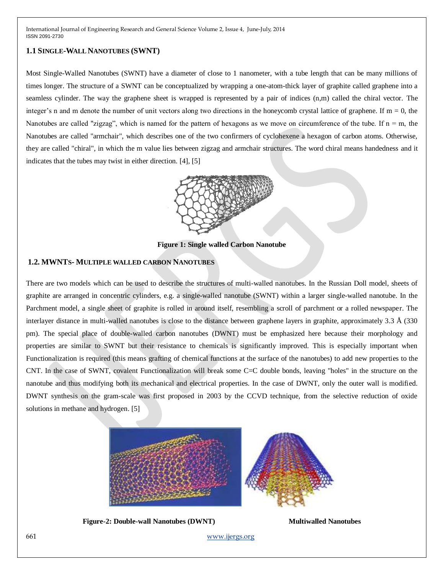## **1.1 SINGLE-WALL NANOTUBES (SWNT)**

Most Single-Walled Nanotubes (SWNT) have a diameter of close to 1 nanometer, with a tube length that can be many millions of times longer. The structure of a SWNT can be conceptualized by wrapping a one-atom-thick layer of graphite called graphene into a seamless cylinder. The way the graphene sheet is wrapped is represented by a pair of indices (n,m) called the chiral vector. The integer's n and m denote the number of unit vectors along two directions in the honeycomb crystal lattice of graphene. If  $m = 0$ , the Nanotubes are called "zigzag", which is named for the pattern of hexagons as we move on circumference of the tube. If  $n = m$ , the Nanotubes are called "armchair", which describes one of the two confirmers of cyclohexene a hexagon of carbon atoms. Otherwise, they are called "chiral", in which the m value lies between zigzag and armchair structures. The word chiral means handedness and it indicates that the tubes may twist in either direction. [4], [5]



**Figure 1: Single walled Carbon Nanotube**

## **1.2. MWNTS- MULTIPLE WALLED CARBON NANOTUBES**

There are two models which can be used to describe the structures of multi-walled nanotubes. In the Russian Doll model, sheets of graphite are arranged in concentric cylinders, e.g. a single-walled nanotube (SWNT) within a larger single-walled nanotube. In the Parchment model, a single sheet of graphite is rolled in around itself, resembling a scroll of parchment or a rolled newspaper. The interlayer distance in multi-walled nanotubes is close to the distance between graphene layers in graphite, approximately 3.3 Å (330 pm). The special place of double-walled carbon nanotubes (DWNT) must be emphasized here because their morphology and properties are similar to SWNT but their resistance to chemicals is significantly improved. This is especially important when Functionalization is required (this means grafting of chemical functions at the surface of the nanotubes) to add new properties to the CNT. In the case of SWNT, covalent Functionalization will break some C=C double bonds, leaving "holes" in the structure on the nanotube and thus modifying both its mechanical and electrical properties. In the case of DWNT, only the outer wall is modified. DWNT synthesis on the gram-scale was first proposed in 2003 by the CCVD technique, from the selective reduction of oxide solutions in methane and hydrogen. [5]



**Figure-2: Double-wall Nanotubes (DWNT) Multiwalled Nanotubes**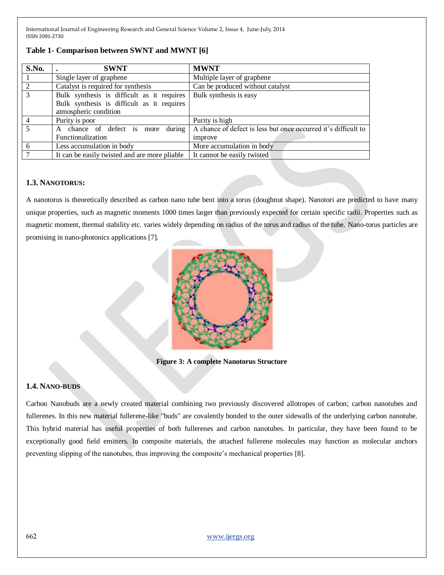| S.No.          | <b>SWNT</b>                                   | <b>MWNT</b>                                                    |
|----------------|-----------------------------------------------|----------------------------------------------------------------|
|                | Single layer of graphene                      | Multiple layer of graphene                                     |
| $\overline{2}$ | Catalyst is required for synthesis            | Can be produced without catalyst                               |
| $\overline{3}$ | Bulk synthesis is difficult as it requires    | Bulk synthesis is easy                                         |
|                | Bulk synthesis is difficult as it requires    |                                                                |
|                | atmospheric condition                         |                                                                |
|                | Purity is poor                                | Purity is high                                                 |
|                | during<br>chance of defect is more<br>A       | A chance of defect is less but once occurred it's difficult to |
|                | Functionalization                             | improve                                                        |
| 6              | Less accumulation in body                     | More accumulation in body                                      |
| 7              | It can be easily twisted and are more pliable | It cannot be easily twisted                                    |

## **Table 1- Comparison between SWNT and MWNT [6]**

#### **1.3. NANOTORUS:**

A nanotorus is theoretically described as carbon nano tube bent into a torus (doughnut shape). Nanotori are predicted to have many unique properties, such as magnetic moments 1000 times larger than previously expected for certain specific radii. Properties such as magnetic moment, thermal stability etc. varies widely depending on radius of the torus and radius of the tube. Nano-torus particles are promising in nano-photonics applications [7].



**Figure 3: A complete Nanotorus Structure**

## **1.4. NANO-BUDS**

Carbon Nanobuds are a newly created material combining two previously discovered allotropes of carbon; carbon nanotubes and fullerenes. In this new material fullerene-like "buds" are covalently bonded to the outer sidewalls of the underlying carbon nanotube. This hybrid material has useful properties of both fullerenes and carbon nanotubes. In particular, they have been found to be exceptionally good field emitters. In composite materials, the attached fullerene molecules may function as molecular anchors preventing slipping of the nanotubes, thus improving the composite's mechanical properties [8].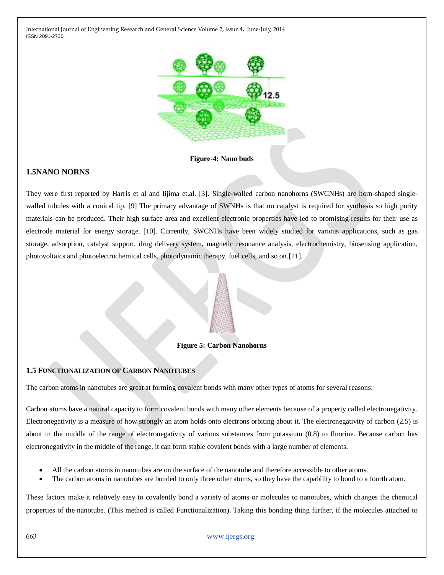

**Figure-4: Nano buds**

## **1.5NANO NORNS**

They were first reported by Harris et al and lijima et.al. [3]. Single-walled carbon nanohorns (SWCNHs) are horn-shaped singlewalled tubules with a conical tip. [9] The primary advantage of SWNHs is that no catalyst is required for synthesis so high purity materials can be produced. Their high surface area and excellent electronic properties have led to promising results for their use as electrode material for energy storage. [10]. Currently, SWCNHs have been widely studied for various applications, such as gas storage, adsorption, catalyst support, drug delivery system, magnetic resonance analysis, electrochemistry, biosensing application, photovoltaics and photoelectrochemical cells, photodynamic therapy, fuel cells, and so on.[11].

## **Figure 5: Carbon Nanohorns**

## **1.5 FUNCTIONALIZATION OF CARBON NANOTUBES**

The carbon atoms in nanotubes are great at forming covalent bonds with many other types of atoms for several reasons:

Carbon atoms have a natural capacity to form covalent bonds with many other elements because of a property called electronegativity. Electronegativity is a measure of how strongly an atom holds onto electrons orbiting about it. The electronegativity of carbon (2.5) is about in the middle of the range of electronegativity of various substances from potassium (0.8) to fluorine. Because carbon has electronegativity in the middle of the range, it can form stable covalent bonds with a large number of elements.

- All the carbon atoms in nanotubes are on the surface of the nanotube and therefore accessible to other atoms.
- The carbon atoms in nanotubes are bonded to only three other atoms, so they have the capability to bond to a fourth atom.

These factors make it relatively easy to covalently bond a variety of atoms or molecules to nanotubes, which changes the chemical properties of the nanotube. (This method is called Functionalization). Taking this bonding thing further, if the molecules attached to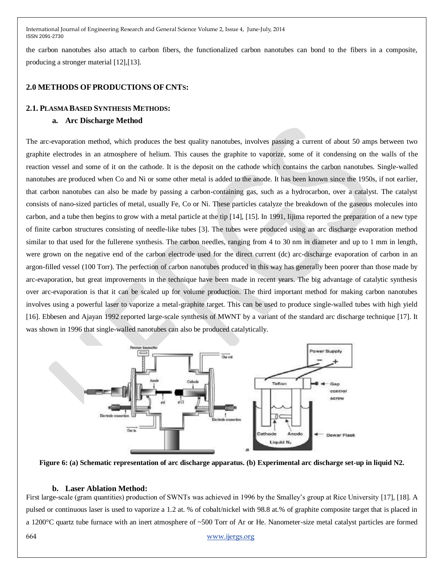the carbon nanotubes also attach to carbon fibers, the functionalized carbon nanotubes can bond to the fibers in a composite, producing a stronger material [12],[13].

## **2.0 METHODS OFPRODUCTIONS OF CNTS:**

## **2.1. PLASMA BASED SYNTHESIS METHODS:**

## **a. Arc Discharge Method**

The arc-evaporation method, which produces the best quality nanotubes, involves passing a current of about 50 amps between two graphite electrodes in an atmosphere of helium. This causes the graphite to vaporize, some of it condensing on the walls of the reaction vessel and some of it on the cathode. It is the deposit on the cathode which contains the carbon nanotubes. Single-walled nanotubes are produced when Co and Ni or some other metal is added to the anode. It has been known since the 1950s, if not earlier, that carbon nanotubes can also be made by passing a carbon-containing gas, such as a hydrocarbon, over a catalyst. The catalyst consists of nano-sized particles of metal, usually Fe, Co or Ni. These particles catalyze the breakdown of the gaseous molecules into carbon, and a tube then begins to grow with a metal particle at the tip [14], [15]. In 1991, Iijima reported the preparation of a new type of finite carbon structures consisting of needle-like tubes [3]. The tubes were produced using an arc discharge evaporation method similar to that used for the fullerene synthesis. The carbon needles, ranging from 4 to 30 nm in diameter and up to 1 mm in length, were grown on the negative end of the carbon electrode used for the direct current (dc) arc-discharge evaporation of carbon in an argon-filled vessel (100 Torr). The perfection of carbon nanotubes produced in this way has generally been poorer than those made by arc-evaporation, but great improvements in the technique have been made in recent years. The big advantage of catalytic synthesis over arc-evaporation is that it can be scaled up for volume production. The third important method for making carbon nanotubes involves using a powerful laser to vaporize a metal-graphite target. This can be used to produce single-walled tubes with high yield [16]. Ebbesen and Ajayan 1992 reported large-scale synthesis of MWNT by a variant of the standard arc discharge technique [17]. It was shown in 1996 that single-walled nanotubes can also be produced catalytically.



**Figure 6: (a) Schematic representation of arc discharge apparatus. (b) Experimental arc discharge set-up in liquid N2.**

## **b. Laser Ablation Method:**

First large-scale (gram quantities) production of SWNTs was achieved in 1996 by the Smalley's group at Rice University [17], [18]. A pulsed or continuous laser is used to vaporize a 1.2 at. % of cobalt/nickel with 98.8 at.% of graphite composite target that is placed in a 1200°C quartz tube furnace with an inert atmosphere of ~500 Torr of Ar or He. Nanometer-size metal catalyst particles are formed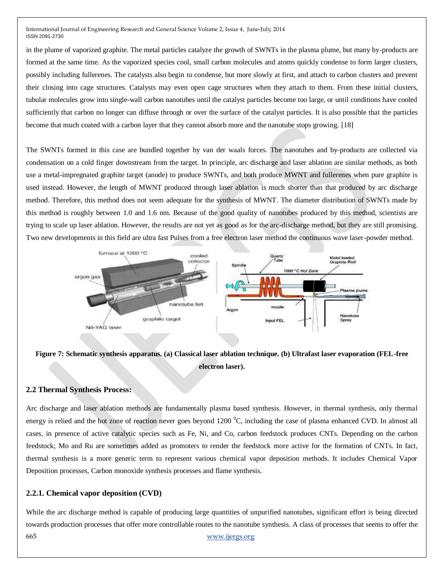in the plume of vaporized graphite. The metal particles catalyze the growth of SWNTs in the plasma plume, but many by-products are formed at the same time. As the vaporized species cool, small carbon molecules and atoms quickly condense to form larger clusters, possibly including fullerenes. The catalysts also begin to condense, but more slowly at first, and attach to carbon clusters and prevent their closing into cage structures. Catalysts may even open cage structures when they attach to them. From these initial clusters, tubular molecules grow into single-wall carbon nanotubes until the catalyst particles become too large, or until conditions have cooled sufficiently that carbon no longer can diffuse through or over the surface of the catalyst particles. It is also possible that the particles become that much coated with a carbon layer that they cannot absorb more and the nanotube stops growing. [18]

The SWNTs formed in this case are bundled together by van der waals forces. The nanotubes and by-products are collected via condensation on a cold finger downstream from the target. In principle, arc discharge and laser ablation are similar methods, as both use a metal-impregnated graphite target (anode) to produce SWNTs, and both produce MWNT and fullerenes when pure graphite is used instead. However, the length of MWNT produced through laser ablation is much shorter than that produced by arc discharge method. Therefore, this method does not seem adequate for the synthesis of MWNT. The diameter distribution of SWNTs made by this method is roughly between 1.0 and 1.6 nm. Because of the good quality of nanotubes produced by this method, scientists are trying to scale up laser ablation. However, the results are not yet as good as for the arc-discharge method, but they are still promising. Two new developments in this field are ultra fast Pulses from a free electron laser method the continuous wave laser-powder method.



## **Figure 7: Schematic synthesis apparatus. (a) Classical laser ablation technique. (b) Ultrafast laser evaporation (FEL-free electron laser).**

## **2.2 Thermal Synthesis Process:**

Arc discharge and laser ablation methods are fundamentally plasma based synthesis. However, in thermal synthesis, only thermal energy is relied and the hot zone of reaction never goes beyond 1200  $^{\circ}$ C, including the case of plasma enhanced CVD. In almost all cases, in presence of active catalytic species such as Fe, Ni, and Co, carbon feedstock produces CNTs. Depending on the carbon feedstock; Mo and Ru are sometimes added as promoters to render the feedstock more active for the formation of CNTs. In fact, thermal synthesis is a more generic term to represent various chemical vapor deposition methods. It includes Chemical Vapor Deposition processes, Carbon monoxide synthesis processes and flame synthesis.

## **2.2.1. Chemical vapor deposition (CVD)**

665 [www.ijergs.org](http://www.ijergs.org/) While the arc discharge method is capable of producing large quantities of unpurified nanotubes, significant effort is being directed towards production processes that offer more controllable routes to the nanotube synthesis. A class of processes that seems to offer the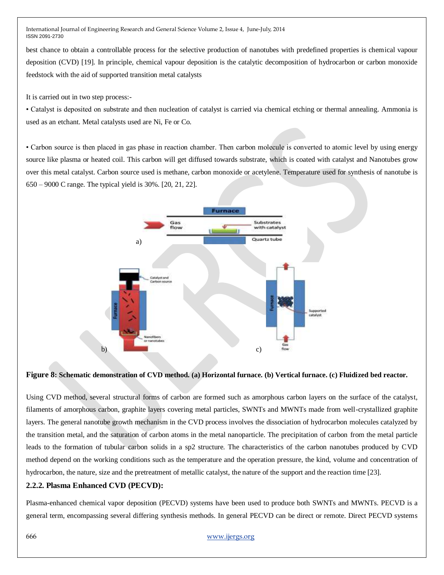best chance to obtain a controllable process for the selective production of nanotubes with predefined properties is chemical vapour deposition (CVD) [19]. In principle, chemical vapour deposition is the catalytic decomposition of hydrocarbon or carbon monoxide feedstock with the aid of supported transition metal catalysts

It is carried out in two step process:-

• Catalyst is deposited on substrate and then nucleation of catalyst is carried via chemical etching or thermal annealing. Ammonia is used as an etchant. Metal catalysts used are Ni, Fe or Co.

• Carbon source is then placed in gas phase in reaction chamber. Then carbon molecule is converted to atomic level by using energy source like plasma or heated coil. This carbon will get diffused towards substrate, which is coated with catalyst and Nanotubes grow over this metal catalyst. Carbon source used is methane, carbon monoxide or acetylene. Temperature used for synthesis of nanotube is 650 – 9000 C range. The typical yield is 30%. [20, 21, 22].



#### **Figure 8: Schematic demonstration of CVD method. (a) Horizontal furnace. (b) Vertical furnace. (c) Fluidized bed reactor.**

Using CVD method, several structural forms of carbon are formed such as amorphous carbon layers on the surface of the catalyst, filaments of amorphous carbon, graphite layers covering metal particles, SWNTs and MWNTs made from well-crystallized graphite layers. The general nanotube growth mechanism in the CVD process involves the dissociation of hydrocarbon molecules catalyzed by the transition metal, and the saturation of carbon atoms in the metal nanoparticle. The precipitation of carbon from the metal particle leads to the formation of tubular carbon solids in a sp2 structure. The characteristics of the carbon nanotubes produced by CVD method depend on the working conditions such as the temperature and the operation pressure, the kind, volume and concentration of hydrocarbon, the nature, size and the pretreatment of metallic catalyst, the nature of the support and the reaction time [23].

## **2.2.2. Plasma Enhanced CVD (PECVD):**

Plasma-enhanced chemical vapor deposition (PECVD) systems have been used to produce both SWNTs and MWNTs. PECVD is a general term, encompassing several differing synthesis methods. In general PECVD can be direct or remote. Direct PECVD systems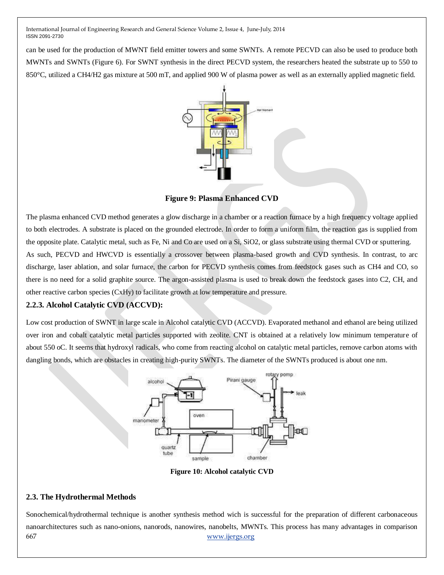can be used for the production of MWNT field emitter towers and some SWNTs. A remote PECVD can also be used to produce both MWNTs and SWNTs (Figure 6). For SWNT synthesis in the direct PECVD system, the researchers heated the substrate up to 550 to 850°C, utilized a CH4/H2 gas mixture at 500 mT, and applied 900 W of plasma power as well as an externally applied magnetic field.



**Figure 9: Plasma Enhanced CVD**

The plasma enhanced CVD method generates a glow discharge in a chamber or a reaction furnace by a high frequency voltage applied to both electrodes. A substrate is placed on the grounded electrode. In order to form a uniform film, the reaction gas is supplied from the opposite plate. Catalytic metal, such as Fe, Ni and Co are used on a Si, SiO2, or glass substrate using thermal CVD or sputtering. As such, PECVD and HWCVD is essentially a crossover between plasma-based growth and CVD synthesis. In contrast, to arc discharge, laser ablation, and solar furnace, the carbon for PECVD synthesis comes from feedstock gases such as CH4 and CO, so there is no need for a solid graphite source. The argon-assisted plasma is used to break down the feedstock gases into C2, CH, and other reactive carbon species (CxHy) to facilitate growth at low temperature and pressure.

## **2.2.3. Alcohol Catalytic CVD (ACCVD):**

Low cost production of SWNT in large scale in Alcohol catalytic CVD (ACCVD). Evaporated methanol and ethanol are being utilized over iron and cobalt catalytic metal particles supported with zeolite. CNT is obtained at a relatively low minimum temperature of about 550 oC. It seems that hydroxyl radicals, who come from reacting alcohol on catalytic metal particles, remove carbon atoms with dangling bonds, which are obstacles in creating high-purity SWNTs. The diameter of the SWNTs produced is about one nm.



**Figure 10: Alcohol catalytic CVD**

## **2.3. The Hydrothermal Methods**

667 [www.ijergs.org](http://www.ijergs.org/) Sonochemical/hydrothermal technique is another synthesis method wich is successful for the preparation of different carbonaceous nanoarchitectures such as nano-onions, nanorods, nanowires, nanobelts, MWNTs. This process has many advantages in comparison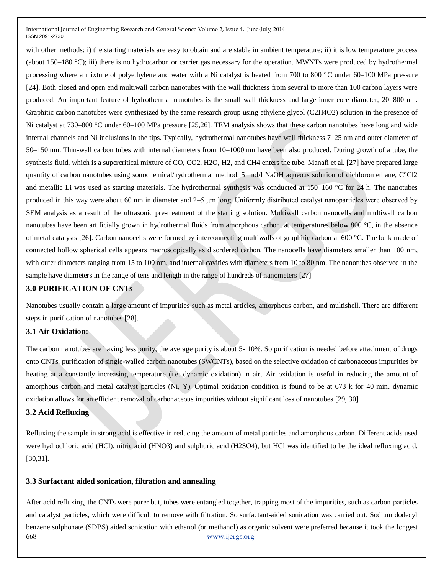with other methods: i) the starting materials are easy to obtain and are stable in ambient temperature; ii) it is low temperature process (about 150–180 °C); iii) there is no hydrocarbon or carrier gas necessary for the operation. MWNTs were produced by hydrothermal processing where a mixture of polyethylene and water with a Ni catalyst is heated from 700 to 800 °C under 60–100 MPa pressure [24]. Both closed and open end multiwall carbon nanotubes with the wall thickness from several to more than 100 carbon layers were produced. An important feature of hydrothermal nanotubes is the small wall thickness and large inner core diameter, 20–800 nm. Graphitic carbon nanotubes were synthesized by the same research group using ethylene glycol (C2H4O2) solution in the presence of Ni catalyst at 730–800 °C under 60–100 MPa pressure [25,26]. TEM analysis shows that these carbon nanotubes have long and wide internal channels and Ni inclusions in the tips. Typically, hydrothermal nanotubes have wall thickness 7–25 nm and outer diameter of 50–150 nm. Thin-wall carbon tubes with internal diameters from 10–1000 nm have been also produced. During growth of a tube, the synthesis fluid, which is a supercritical mixture of CO, CO2, H2O, H2, and CH4 enters the tube. Manafi et al. [27] have prepared large quantity of carbon nanotubes using sonochemical/hydrothermal method. 5 mol/l NaOH aqueous solution of dichloromethane, C°Cl2 and metallic Li was used as starting materials. The hydrothermal synthesis was conducted at 150–160 °C for 24 h. The nanotubes produced in this way were about 60 nm in diameter and 2–5 μm long. Uniformly distributed catalyst nanoparticles were observed by SEM analysis as a result of the ultrasonic pre-treatment of the starting solution. Multiwall carbon nanocells and multiwall carbon nanotubes have been artificially grown in hydrothermal fluids from amorphous carbon, at temperatures below 800 °C, in the absence of metal catalysts [26]. Carbon nanocells were formed by interconnecting multiwalls of graphitic carbon at 600 °C. The bulk made of connected hollow spherical cells appears macroscopically as disordered carbon. The nanocells have diameters smaller than 100 nm, with outer diameters ranging from 15 to 100 nm, and internal cavities with diameters from 10 to 80 nm. The nanotubes observed in the sample have diameters in the range of tens and length in the range of hundreds of nanometers [27]

## **3.0 PURIFICATION OF CNTs**

Nanotubes usually contain a large amount of impurities such as metal articles, amorphous carbon, and multishell. There are different steps in purification of nanotubes [28].

## **3.1 Air Oxidation:**

The carbon nanotubes are having less purity; the average purity is about 5- 10%. So purification is needed before attachment of drugs onto CNTs. purification of single-walled carbon nanotubes (SWCNTs), based on the selective oxidation of carbonaceous impurities by heating at a constantly increasing temperature (i.e. dynamic oxidation) in air. Air oxidation is useful in reducing the amount of amorphous carbon and metal catalyst particles (Ni, Y). Optimal oxidation condition is found to be at 673 k for 40 min. dynamic oxidation allows for an efficient removal of carbonaceous impurities without significant loss of nanotubes [29, 30].

## **3.2 Acid Refluxing**

Refluxing the sample in strong acid is effective in reducing the amount of metal particles and amorphous carbon. Different acids used were hydrochloric acid (HCl), nitric acid (HNO3) and sulphuric acid (H2SO4), but HCl was identified to be the ideal refluxing acid. [30,31].

## **3.3 Surfactant aided sonication, filtration and annealing**

668 [www.ijergs.org](http://www.ijergs.org/) After acid refluxing, the CNTs were purer but, tubes were entangled together, trapping most of the impurities, such as carbon particles and catalyst particles, which were difficult to remove with filtration. So surfactant-aided sonication was carried out. Sodium dodecyl benzene sulphonate (SDBS) aided sonication with ethanol (or methanol) as organic solvent were preferred because it took the longest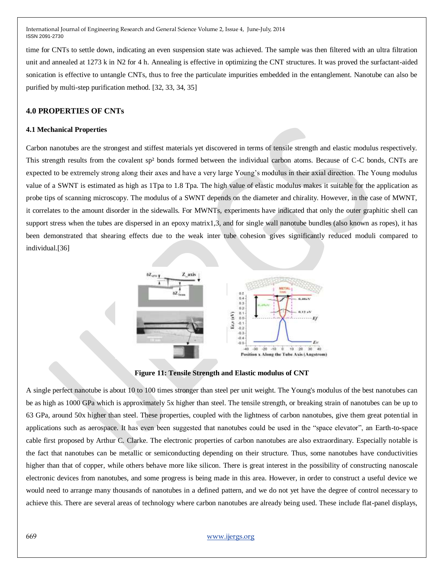time for CNTs to settle down, indicating an even suspension state was achieved. The sample was then filtered with an ultra filtration unit and annealed at 1273 k in N2 for 4 h. Annealing is effective in optimizing the CNT structures. It was proved the surfactant-aided sonication is effective to untangle CNTs, thus to free the particulate impurities embedded in the entanglement. Nanotube can also be purified by multi-step purification method. [32, 33, 34, 35]

## **4.0 PROPERTIES OF CNTs**

#### **4.1 Mechanical Properties**

Carbon nanotubes are the strongest and stiffest materials yet discovered in terms of tensile strength and elastic modulus respectively. This strength results from the covalent sp² bonds formed between the individual carbon atoms. Because of C-C bonds, CNTs are expected to be extremely strong along their axes and have a very large Young's modulus in their axial direction. The Young modulus value of a SWNT is estimated as high as 1Tpa to 1.8 Tpa. The high value of elastic modulus makes it suitable for the application as probe tips of scanning microscopy. The modulus of a SWNT depends on the diameter and chirality. However, in the case of MWNT, it correlates to the amount disorder in the sidewalls. For MWNTs, experiments have indicated that only the outer graphitic shell can support stress when the tubes are dispersed in an epoxy matrix1,3, and for single wall nanotube bundles (also known as ropes), it has been demonstrated that shearing effects due to the weak inter tube cohesion gives significantly reduced moduli compared to individual.[36]



**Figure 11: Tensile Strength and Elastic modulus of CNT**

A single perfect nanotube is about 10 to 100 times stronger than steel per unit weight. The Young's modulus of the best nanotubes can be as high as 1000 GPa which is approximately 5x higher than steel. The tensile strength, or breaking strain of nanotubes can be up to 63 GPa, around 50x higher than steel. These properties, coupled with the lightness of carbon nanotubes, give them great potential in applications such as aerospace. It has even been suggested that nanotubes could be used in the "space elevator", an Earth-to-space cable first proposed by Arthur C. Clarke. The electronic properties of carbon nanotubes are also extraordinary. Especially notable is the fact that nanotubes can be metallic or semiconducting depending on their structure. Thus, some nanotubes have conductivities higher than that of copper, while others behave more like silicon. There is great interest in the possibility of constructing nanoscale electronic devices from nanotubes, and some progress is being made in this area. However, in order to construct a useful device we would need to arrange many thousands of nanotubes in a defined pattern, and we do not yet have the degree of control necessary to achieve this. There are several areas of technology where carbon nanotubes are already being used. These include flat-panel displays,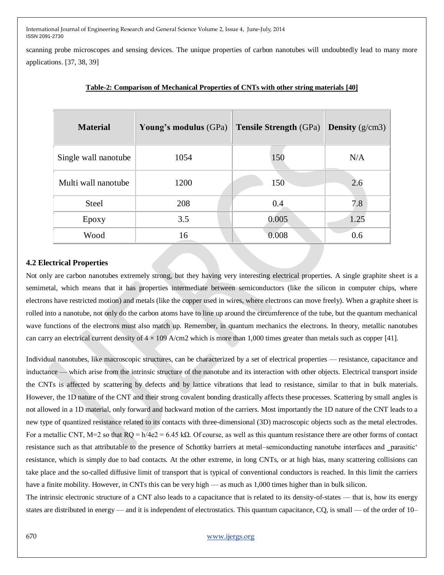scanning probe microscopes and sensing devices. The unique properties of carbon nanotubes will undoubtedly lead to many more applications. [37, 38, 39]

| <b>Material</b>      | Young's modulus (GPa) | <b>Tensile Strength</b> (GPa) | <b>Density</b> ( $g/cm3$ ) |
|----------------------|-----------------------|-------------------------------|----------------------------|
| Single wall nanotube | 1054                  | 150                           | N/A                        |
| Multi wall nanotube  | 1200                  | 150                           | 2.6                        |
| <b>Steel</b>         | 208                   | 0.4                           | 7.8                        |
| Epoxy                | 3.5                   | 0.005                         | 1.25                       |
| Wood                 | 16                    | 0.008                         | 0.6                        |

#### **Table-2: Comparison of Mechanical Properties of CNTs with other string materials [40]**

#### **4.2 Electrical Properties**

Not only are carbon nanotubes extremely strong, but they having very interesting electrical properties. A single graphite sheet is a semimetal, which means that it has properties intermediate between semiconductors (like the silicon in computer chips, where electrons have restricted motion) and metals (like the copper used in wires, where electrons can move freely). When a graphite sheet is rolled into a nanotube, not only do the carbon atoms have to line up around the circumference of the tube, but the quantum mechanical wave functions of the electrons must also match up. Remember, in quantum mechanics the electrons. In theory, metallic nanotubes can carry an electrical current density of  $4 \times 109$  A/cm2 which is more than 1,000 times greater than metals such as copper [41].

Individual nanotubes, like macroscopic structures, can be characterized by a set of electrical properties — resistance, capacitance and inductance — which arise from the intrinsic structure of the nanotube and its interaction with other objects. Electrical transport inside the CNTs is affected by scattering by defects and by lattice vibrations that lead to resistance, similar to that in bulk materials. However, the 1D nature of the CNT and their strong covalent bonding drastically affects these processes. Scattering by small angles is not allowed in a 1D material, only forward and backward motion of the carriers. Most importantly the 1D nature of the CNT leads to a new type of quantized resistance related to its contacts with three-dimensional (3D) macroscopic objects such as the metal electrodes. For a metallic CNT, M=2 so that  $RQ = h/4e2 = 6.45 k\Omega$ . Of course, as well as this quantum resistance there are other forms of contact resistance such as that attributable to the presence of Schottky barriers at metal–semiconducting nanotube interfaces and \_parasitic<sup>\*</sup> resistance, which is simply due to bad contacts. At the other extreme, in long CNTs, or at high bias, many scattering collisions can take place and the so-called diffusive limit of transport that is typical of conventional conductors is reached. In this limit the carriers have a finite mobility. However, in CNTs this can be very high — as much as 1,000 times higher than in bulk silicon.

The intrinsic electronic structure of a CNT also leads to a capacitance that is related to its density-of-states — that is, how its energy states are distributed in energy — and it is independent of electrostatics. This quantum capacitance, CQ, is small — of the order of 10–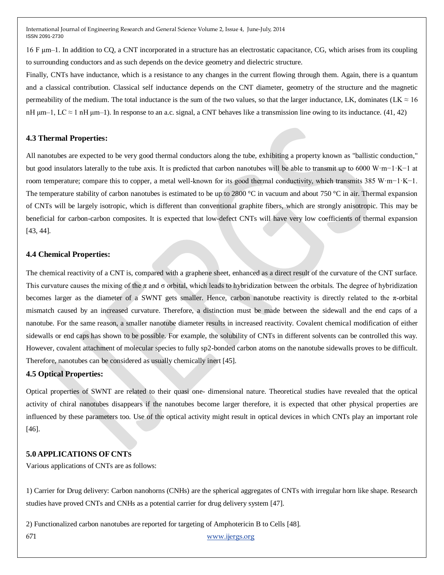16 F μm–1. In addition to CQ, a CNT incorporated in a structure has an electrostatic capacitance, CG, which arises from its coupling to surrounding conductors and as such depends on the device geometry and dielectric structure.

Finally, CNTs have inductance, which is a resistance to any changes in the current flowing through them. Again, there is a quantum and a classical contribution. Classical self inductance depends on the CNT diameter, geometry of the structure and the magnetic permeability of the medium. The total inductance is the sum of the two values, so that the larger inductance, LK, dominates (LK  $\approx 16$ ) nH  $\mu$ m–1, LC  $\approx$  1 nH  $\mu$ m–1). In response to an a.c. signal, a CNT behaves like a transmission line owing to its inductance. (41, 42)

## **4.3 Thermal Properties:**

All nanotubes are expected to be very good thermal conductors along the tube, exhibiting a property known as "ballistic conduction," but good insulators laterally to the tube axis. It is predicted that carbon nanotubes will be able to transmit up to 6000 W·m−1·K−1 at room temperature; compare this to copper, a metal well-known for its good thermal conductivity, which transmits 385 W·m−1·K−1. The temperature stability of carbon nanotubes is estimated to be up to 2800 °C in vacuum and about 750 °C in air. Thermal expansion of CNTs will be largely isotropic, which is different than conventional graphite fibers, which are strongly anisotropic. This may be beneficial for carbon-carbon composites. It is expected that low-defect CNTs will have very low coefficients of thermal expansion [43, 44].

## **4.4 Chemical Properties:**

The chemical reactivity of a CNT is, compared with a graphene sheet, enhanced as a direct result of the curvature of the CNT surface. This curvature causes the mixing of the  $\pi$  and  $\sigma$  orbital, which leads to hybridization between the orbitals. The degree of hybridization becomes larger as the diameter of a SWNT gets smaller. Hence, carbon nanotube reactivity is directly related to the  $\pi$ -orbital mismatch caused by an increased curvature. Therefore, a distinction must be made between the sidewall and the end caps of a nanotube. For the same reason, a smaller nanotube diameter results in increased reactivity. Covalent chemical modification of either sidewalls or end caps has shown to be possible. For example, the solubility of CNTs in different solvents can be controlled this way. However, covalent attachment of molecular species to fully sp2-bonded carbon atoms on the nanotube sidewalls proves to be difficult. Therefore, nanotubes can be considered as usually chemically inert [45].

## **4.5 Optical Properties:**

Optical properties of SWNT are related to their quasi one- dimensional nature. Theoretical studies have revealed that the optical activity of chiral nanotubes disappears if the nanotubes become larger therefore, it is expected that other physical properties are influenced by these parameters too. Use of the optical activity might result in optical devices in which CNTs play an important role [46].

## **5.0 APPLICATIONS OF CNTS**

Various applications of CNTs are as follows:

1) Carrier for Drug delivery: Carbon nanohorns (CNHs) are the spherical aggregates of CNTs with irregular horn like shape. Research studies have proved CNTs and CNHs as a potential carrier for drug delivery system [47].

671 [www.ijergs.org](http://www.ijergs.org/) 2) Functionalized carbon nanotubes are reported for targeting of Amphotericin B to Cells [48].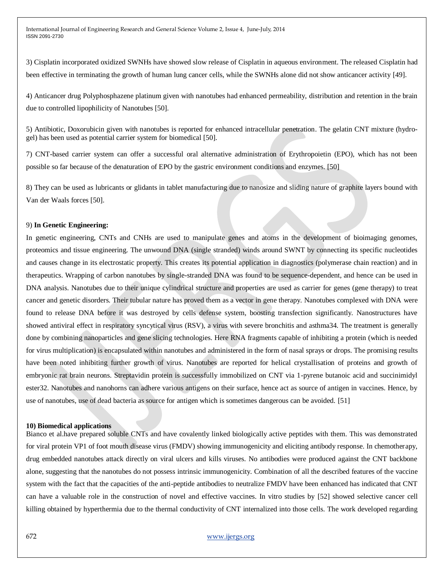3) Cisplatin incorporated oxidized SWNHs have showed slow release of Cisplatin in aqueous environment. The released Cisplatin had been effective in terminating the growth of human lung cancer cells, while the SWNHs alone did not show anticancer activity [49].

4) Anticancer drug Polyphosphazene platinum given with nanotubes had enhanced permeability, distribution and retention in the brain due to controlled lipophilicity of Nanotubes [50].

5) Antibiotic, Doxorubicin given with nanotubes is reported for enhanced intracellular penetration. The gelatin CNT mixture (hydrogel) has been used as potential carrier system for biomedical [50].

7) CNT-based carrier system can offer a successful oral alternative administration of Erythropoietin (EPO), which has not been possible so far because of the denaturation of EPO by the gastric environment conditions and enzymes. [50]

8) They can be used as lubricants or glidants in tablet manufacturing due to nanosize and sliding nature of graphite layers bound with Van der Waals forces [50].

#### 9) **In Genetic Engineering:**

In genetic engineering, CNTs and CNHs are used to manipulate genes and atoms in the development of bioimaging genomes, proteomics and tissue engineering. The unwound DNA (single stranded) winds around SWNT by connecting its specific nucleotides and causes change in its electrostatic property. This creates its potential application in diagnostics (polymerase chain reaction) and in therapeutics. Wrapping of carbon nanotubes by single-stranded DNA was found to be sequence-dependent, and hence can be used in DNA analysis. Nanotubes due to their unique cylindrical structure and properties are used as carrier for genes (gene therapy) to treat cancer and genetic disorders. Their tubular nature has proved them as a vector in gene therapy. Nanotubes complexed with DNA were found to release DNA before it was destroyed by cells defense system, boosting transfection significantly. Nanostructures have showed antiviral effect in respiratory syncytical virus (RSV), a virus with severe bronchitis and asthma34. The treatment is generally done by combining nanoparticles and gene slicing technologies. Here RNA fragments capable of inhibiting a protein (which is needed for virus multiplication) is encapsulated within nanotubes and administered in the form of nasal sprays or drops. The promising results have been noted inhibiting further growth of virus. Nanotubes are reported for helical crystallisation of proteins and growth of embryonic rat brain neurons. Streptavidin protein is successfully immobilized on CNT via 1-pyrene butanoic acid and succinimidyl ester32. Nanotubes and nanohorns can adhere various antigens on their surface, hence act as source of antigen in vaccines. Hence, by use of nanotubes, use of dead bacteria as source for antigen which is sometimes dangerous can be avoided. [51]

#### **10) Biomedical applications**

Bianco et al.have prepared soluble CNTs and have covalently linked biologically active peptides with them. This was demonstrated for viral protein VP1 of foot mouth disease virus (FMDV) showing immunogenicity and eliciting antibody response. In chemotherapy, drug embedded nanotubes attack directly on viral ulcers and kills viruses. No antibodies were produced against the CNT backbone alone, suggesting that the nanotubes do not possess intrinsic immunogenicity. Combination of all the described features of the vaccine system with the fact that the capacities of the anti-peptide antibodies to neutralize FMDV have been enhanced has indicated that CNT can have a valuable role in the construction of novel and effective vaccines. In vitro studies by [52] showed selective cancer cell killing obtained by hyperthermia due to the thermal conductivity of CNT internalized into those cells. The work developed regarding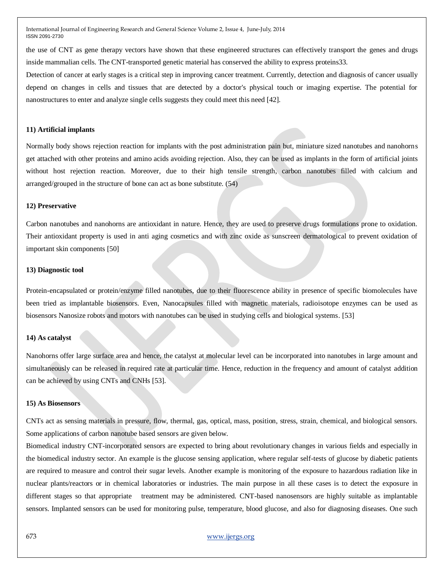the use of CNT as gene therapy vectors have shown that these engineered structures can effectively transport the genes and drugs inside mammalian cells. The CNT-transported genetic material has conserved the ability to express proteins33.

Detection of cancer at early stages is a critical step in improving cancer treatment. Currently, detection and diagnosis of cancer usually depend on changes in cells and tissues that are detected by a doctor's physical touch or imaging expertise. The potential for nanostructures to enter and analyze single cells suggests they could meet this need [42].

#### **11) Artificial implants**

Normally body shows rejection reaction for implants with the post administration pain but, miniature sized nanotubes and nanohorns get attached with other proteins and amino acids avoiding rejection. Also, they can be used as implants in the form of artificial joints without host rejection reaction. Moreover, due to their high tensile strength, carbon nanotubes filled with calcium and arranged/grouped in the structure of bone can act as bone substitute. (54)

#### **12) Preservative**

Carbon nanotubes and nanohorns are antioxidant in nature. Hence, they are used to preserve drugs formulations prone to oxidation. Their antioxidant property is used in anti aging cosmetics and with zinc oxide as sunscreen dermatological to prevent oxidation of important skin components [50]

#### **13) Diagnostic tool**

Protein-encapsulated or protein/enzyme filled nanotubes, due to their fluorescence ability in presence of specific biomolecules have been tried as implantable biosensors. Even, Nanocapsules filled with magnetic materials, radioisotope enzymes can be used as biosensors Nanosize robots and motors with nanotubes can be used in studying cells and biological systems. [53]

#### **14) As catalyst**

Nanohorns offer large surface area and hence, the catalyst at molecular level can be incorporated into nanotubes in large amount and simultaneously can be released in required rate at particular time. Hence, reduction in the frequency and amount of catalyst addition can be achieved by using CNTs and CNHs [53].

#### **15) As Biosensors**

CNTs act as sensing materials in pressure, flow, thermal, gas, optical, mass, position, stress, strain, chemical, and biological sensors. Some applications of carbon nanotube based sensors are given below.

Biomedical industry CNT-incorporated sensors are expected to bring about revolutionary changes in various fields and especially in the biomedical industry sector. An example is the glucose sensing application, where regular self-tests of glucose by diabetic patients are required to measure and control their sugar levels. Another example is monitoring of the exposure to hazardous radiation like in nuclear plants/reactors or in chemical laboratories or industries. The main purpose in all these cases is to detect the exposure in different stages so that appropriate treatment may be administered. CNT-based nanosensors are highly suitable as implantable sensors. Implanted sensors can be used for monitoring pulse, temperature, blood glucose, and also for diagnosing diseases. One such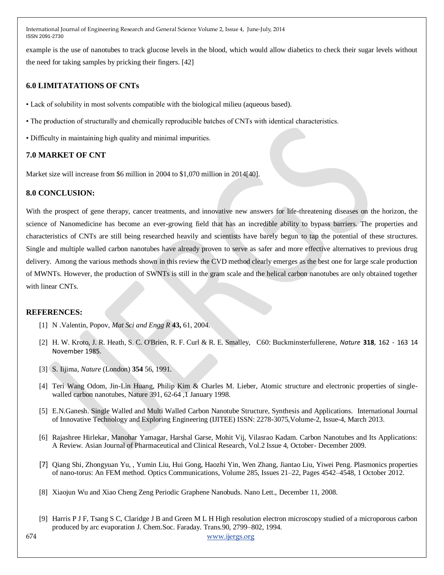example is the use of nanotubes to track glucose levels in the blood, which would allow diabetics to check their sugar levels without the need for taking samples by pricking their fingers. [42]

## **6.0 LIMITATATIONS OF CNTs**

- Lack of solubility in most solvents compatible with the biological milieu (aqueous based).
- The production of structurally and chemically reproducible batches of CNTs with identical characteristics.
- Difficulty in maintaining high quality and minimal impurities.

## **7.0 MARKET OF CNT**

Market size will increase from \$6 million in 2004 to \$1,070 million in 2014[40].

## **8.0 CONCLUSION:**

With the prospect of gene therapy, cancer treatments, and innovative new answers for life-threatening diseases on the horizon, the science of Nanomedicine has become an ever-growing field that has an incredible ability to bypass barriers. The properties and characteristics of CNTs are still being researched heavily and scientists have barely begun to tap the potential of these structures. Single and multiple walled carbon nanotubes have already proven to serve as safer and more effective alternatives to previous drug delivery. Among the various methods shown in this review the CVD method clearly emerges as the best one for large scale production of MWNTs. However, the production of SWNTs is still in the gram scale and the helical carbon nanotubes are only obtained together with linear CNTs.

## **REFERENCES:**

- [1] N .Valentin, Popov, *Mat Sci and Engg R* **43,** 61, 2004.
- [2] H. W. Kroto, J. R. Heath, S. C. O'Brien, R. F. Curl & R. E. Smalley, C60: Buckminsterfullerene, *Nature* **318**, 162 163 14 November 1985.
- [3] S. Iijima, *Nature* (London) **354** 56, 1991.
- [4] Teri Wang Odom, Jin-Lin Huang, Philip Kim & Charles M. Lieber, Atomic structure and electronic properties of singlewalled carbon nanotubes, Nature 391, 62-64 ,1 January 1998.
- [5] E.N.Ganesh. Single Walled and Multi Walled Carbon Nanotube Structure, Synthesis and Applications. International Journal of Innovative Technology and Exploring Engineering (IJITEE) ISSN: 2278-3075,Volume-2, Issue-4, March 2013.
- [6] Rajashree Hirlekar, Manohar Yamagar, Harshal Garse, Mohit Vij, Vilasrao Kadam. Carbon Nanotubes and Its Applications: A Review. Asian Journal of Pharmaceutical and Clinical Research, Vol.2 Issue 4, October- December 2009.
- [7] [Qiang Shi, Zhongyuan Yu,](http://www.sciencedirect.com/science/article/pii/S0030401812005767) , [Yumin Liu, Hui Gong, Haozhi Yin, Wen Zhang, Jiantao Liu, Yiwei Peng.](http://www.sciencedirect.com/science/article/pii/S0030401812005767) Plasmonics properties of nano-torus: An FEM method[. Optics Communications,](http://www.sciencedirect.com/science/journal/00304018) [Volume 285, Issues 21–22,](http://www.sciencedirect.com/science/journal/00304018/285/21) Pages 4542–4548, 1 October 2012.
- [8] Xiaojun Wu and Xiao Cheng Zeng Periodic Graphene Nanobuds. Nano Lett., December 11, 2008.
- [9] Harris P J F, Tsang S C, Claridge J B and Green M L H High resolution electron microscopy studied of a microporous carbon produced by arc evaporation J. Chem.Soc. Faraday. Trans.90, 2799–802, 1994.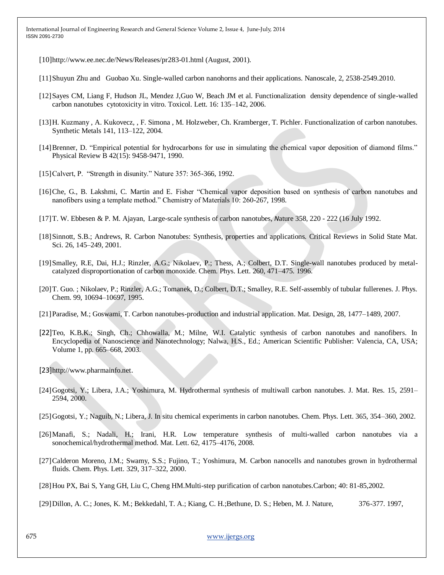[10]http://www.ee.nec.de/News/Releases/pr283-01.html (August, 2001).

- [11]Shuyun Zhu and [Guobao Xu.](http://pubs.rsc.org/en/results?searchtext=Author%3AGuobao%20Xu) Single-walled carbon nanohorns and their applications. Nanoscale, 2, 2538-2549.2010.
- [12]Sayes CM, Liang F, Hudson JL, Mendez J,Guo W, Beach JM et al. Functionalization density dependence of single-walled carbon nanotubes cytotoxicity in vitro. Toxicol. Lett. 16: 135–142, 2006.
- [13]H. Kuzmany , A. Kukovecz, , F. Simona , M. Holzweber, Ch. Kramberger, T. Pichler. Functionalization of carbon nanotubes. Synthetic Metals 141, 113–122, 2004.
- [14] Brenner, D. "Empirical potential for hydrocarbons for use in simulating the chemical vapor deposition of diamond films." Physical Review B 42(15): 9458-9471, 1990.
- [15] Calvert, P. "Strength in disunity." Nature 357: 365-366, 1992.
- [16]Che, G., B. Lakshmi, C. Martin and E. Fisher "Chemical vapor deposition based on synthesis of carbon nanotubes and nanofibers using a template method." Chemistry of Materials 10: 260-267, 1998.
- [17]T. W. Ebbesen & P. M. Ajayan, Large-scale synthesis of carbon nanotubes, *N*ature 358, 220 222 (16 July 1992.
- [18]Sinnott, S.B.; Andrews, R. Carbon Nanotubes: Synthesis, properties and applications. Critical Reviews in Solid State Mat. Sci. 26, 145–249, 2001.
- [19]Smalley, R.E, Dai, H.J.; Rinzler, A.G.; Nikolaev, P.; Thess, A.; Colbert, D.T. Single-wall nanotubes produced by metalcatalyzed disproportionation of carbon monoxide. Chem. Phys. Lett. 260, 471–475. 1996.
- [20]T. Guo. ; Nikolaev, P.; Rinzler, A.G.; Tomanek, D.; Colbert, D.T.; Smalley, R.E. Self-assembly of tubular fullerenes. J. Phys. Chem. 99, 10694–10697, 1995.
- [21]Paradise, M.; Goswami, T. Carbon nanotubes-production and industrial application. Mat. Design, 28, 1477–1489, 2007.
- [22]Teo, K.B.K.; Singh, Ch.; Chhowalla, M.; Milne, W.I. Catalytic synthesis of carbon nanotubes and nanofibers. In Encyclopedia of Nanoscience and Nanotechnology; Nalwa, H.S., Ed.; American Scientific Publisher: Valencia, CA, USA; Volume 1, pp. 665–668, 2003.
- [23][http://www.pharmainfo.net](http://www.pharmainfo.net/).
- [24]Gogotsi, Y.; Libera, J.A.; Yoshimura, M. Hydrothermal synthesis of multiwall carbon nanotubes. J. Mat. Res. 15, 2591– 2594, 2000.
- [25]Gogotsi, Y.; Naguib, N.; Libera, J. In situ chemical experiments in carbon nanotubes. Chem. Phys. Lett. 365, 354–360, 2002.
- [26]Manafi, S.; Nadali, H.; Irani, H.R. Low temperature synthesis of multi-walled carbon nanotubes via a sonochemical/hydrothermal method. Mat. Lett. 62, 4175–4176, 2008.
- [27]Calderon Moreno, J.M.; Swamy, S.S.; Fujino, T.; Yoshimura, M. Carbon nanocells and nanotubes grown in hydrothermal fluids. Chem. Phys. Lett. 329, 317–322, 2000.
- [28]Hou PX, Bai S, Yang GH, Liu C, Cheng HM.Multi-step purification of carbon nanotubes.Carbon; 40: 81-85,2002.
- [29]Dillon, A. C.; Jones, K. M.; Bekkedahl, T. A.; Kiang, C. H.;Bethune, D. S.; Heben, M. J. Nature, 376-377. 1997,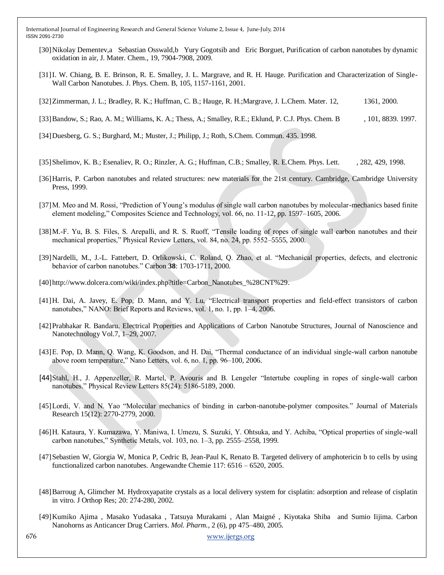- [30[\]Nikolay Dementev,](http://pubs.rsc.org/en/results?searchtext=Author%3ANikolay%20Dementev)a [Sebastian Osswald,](http://pubs.rsc.org/en/results?searchtext=Author%3ASebastian%20Osswald)b [Yury Gogotsib](http://pubs.rsc.org/en/results?searchtext=Author%3AYury%20Gogotsi) and [Eric Borguet,](http://pubs.rsc.org/en/results?searchtext=Author%3AEric%20Borguet) Purification of carbon nanotubes by dynamic oxidation in air, J. Mater. Chem., 19, 7904-7908, 2009.
- [31]I. W. Chiang, B. E. Brinson, R. E. Smalley, J. L. Margrave, and R. H. Hauge. Purification and Characterization of Single-Wall Carbon Nanotubes. J. Phys. Chem. B, 105, 1157-1161, 2001.
- [32]Zimmerman, J. L.; Bradley, R. K.; Huffman, C. B.; Hauge, R. H.;Margrave, J. L.Chem. Mater. 12, 1361, 2000.

[33] Bandow, S.; Rao, A. M.; Williams, K. A.; Thess, A.; Smalley, R.E.; Eklund, P. C.J. Phys. Chem. B , 101, 8839. 1997.

- [34]Duesberg, G. S.; Burghard, M.; Muster, J.; Philipp, J.; Roth, S.Chem. Commun. 435. 1998.
- [35] Shelimov, K. B.; Esenaliev, R. O.; Rinzler, A. G.; Huffman, C.B.; Smalley, R. E.Chem. Phys. Lett. , 282, 429, 1998.
- [36]Harris, P. Carbon nanotubes and related structures: new materials for the 21st century. Cambridge, Cambridge University Press, 1999.
- [37] M. Meo and M. Rossi, "Prediction of Young's modulus of single wall carbon nanotubes by molecular-mechanics based finite element modeling," Composites Science and Technology, vol. 66, no. 11-12, pp. 1597–1605, 2006.
- [38] M.-F. Yu, B. S. Files, S. Arepalli, and R. S. Ruoff, "Tensile loading of ropes of single wall carbon nanotubes and their mechanical properties," Physical Review Letters, vol. 84, no. 24, pp. 5552–5555, 2000.
- [39]Nardelli, M., J.-L. Fattebert, D. Orlikowski, C. Roland, Q. Zhao, et al. "Mechanical properties, defects, and electronic behavior of carbon nanotubes.‖ Carbon **38**: 1703-1711, 2000.
- [40]http://www.dolcera.com/wiki/index.php?title=Carbon\_Nanotubes\_%28CNT%29.
- [41] H. Dai, A. Javey, E. Pop, D. Mann, and Y. Lu, "Electrical transport properties and field-effect transistors of carbon nanotubes," NANO: Brief Reports and Reviews, vol. 1, no. 1, pp. 1–4, 2006.
- [42]Prabhakar R. Bandaru. Electrical Properties and Applications of Carbon Nanotube Structures, Journal of Nanoscience and Nanotechnology Vol.7, 1–29, 2007.
- [43] E. Pop, D. Mann, Q. Wang, K. Goodson, and H. Dai, "Thermal conductance of an individual single-wall carbon nanotube above room temperature," Nano Letters, vol. 6, no. 1, pp. 96–100, 2006.
- [44]Stahl, H., J. Appenzeller, R. Martel, P. Avouris and B. Lengeler "Intertube coupling in ropes of single-wall carbon nanotubes." Physical Review Letters 85(24): 5186-5189, 2000.
- [45]Lordi, V. and N. Yao "Molecular mechanics of binding in carbon-nanotube-polymer composites." Journal of Materials Research 15(12): 2770-2779, 2000.
- [46] H. Kataura, Y. Kumazawa, Y. Maniwa, I. Umezu, S. Suzuki, Y. Ohtsuka, and Y. Achiba, "Optical properties of single-wall carbon nanotubes," Synthetic Metals, vol. 103, no. 1–3, pp. 2555–2558, 1999.
- [47]Sebastien W, Giorgia W, Monica P, Cedric B, Jean-Paul K, Renato B. Targeted delivery of amphotericin b to cells by using functionalized carbon nanotubes. Angewandte Chemie 117: 6516 – 6520, 2005.
- [48]Barroug A, Glimcher M. Hydroxyapatite crystals as a local delivery system for cisplatin: adsorption and release of cisplatin in vitro. J Orthop Res; 20: 274-280, 2002.
- [49][Kumiko Ajima](http://pubs.acs.org/action/doSearch?action=search&author=Ajima%2C+K&qsSearchArea=author) , Masako Yudasaka , Tatsuya Murakami , Alan Maigné , [Kiyotaka Shiba](http://pubs.acs.org/action/doSearch?action=search&author=Shiba%2C+K&qsSearchArea=author) and [Sumio Iijima.](http://pubs.acs.org/action/doSearch?action=search&author=Iijima%2C+S&qsSearchArea=author) Carbon Nanohorns as Anticancer Drug Carriers. *Mol. Pharm.,* 2 (6), pp 475–480, 2005.